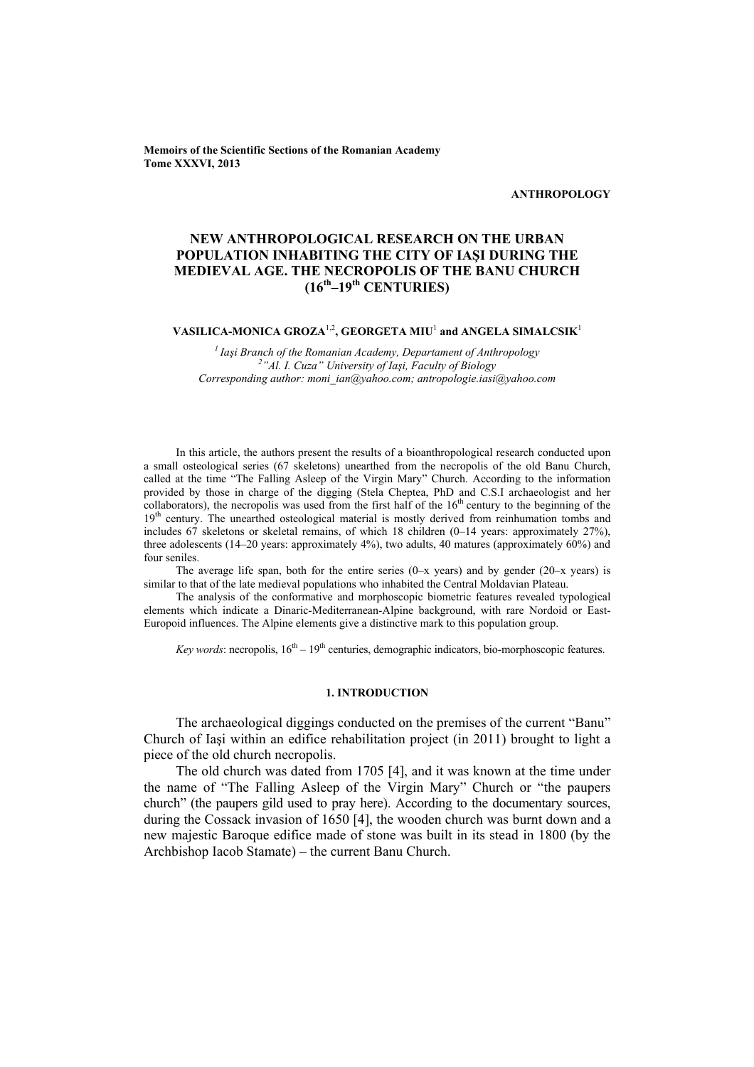**Memoirs of the Scientific Sections of the Romanian Academy Tome XXXVI, 2013** 

**ANTHROPOLOGY** 

# **NEW ANTHROPOLOGICAL RESEARCH ON THE URBAN POPULATION INHABITING THE CITY OF IAŞI DURING THE MEDIEVAL AGE. THE NECROPOLIS OF THE BANU CHURCH (16th–19th CENTURIES)**

### $\mathbf{VASILICA\text{-}MONICA}$   $\mathbf{GROZA}^{1,2}, \mathbf{GEORGETA}$   $\mathbf{MIU}^{1}$  and  $\mathbf{ANGELA}$   $\mathbf{SIMALCSIK}^{1,2}$

*1 Iaşi Branch of the Romanian Academy, Departament of Anthropology 2 "Al. I. Cuza" University of Iaşi, Faculty of Biology Corresponding author: moni\_ian@yahoo.com; antropologie.iasi@yahoo.com* 

In this article, the authors present the results of a bioanthropological research conducted upon a small osteological series (67 skeletons) unearthed from the necropolis of the old Banu Church, called at the time "The Falling Asleep of the Virgin Mary" Church. According to the information provided by those in charge of the digging (Stela Cheptea, PhD and C.S.I archaeologist and her collaborators), the necropolis was used from the first half of the  $16<sup>th</sup>$  century to the beginning of the 19<sup>th</sup> century. The unearthed osteological material is mostly derived from reinhumation tombs and includes 67 skeletons or skeletal remains, of which 18 children (0–14 years: approximately 27%), three adolescents (14–20 years: approximately 4%), two adults, 40 matures (approximately 60%) and four seniles.

The average life span, both for the entire series  $(0-x)$  years) and by gender  $(20-x)$  years) is similar to that of the late medieval populations who inhabited the Central Moldavian Plateau.

The analysis of the conformative and morphoscopic biometric features revealed typological elements which indicate a Dinaric-Mediterranean-Alpine background, with rare Nordoid or East-Europoid influences. The Alpine elements give a distinctive mark to this population group.

*Key words*: necropolis,  $16<sup>th</sup> - 19<sup>th</sup>$  centuries, demographic indicators, bio-morphoscopic features.

### **1. INTRODUCTION**

The archaeological diggings conducted on the premises of the current "Banu" Church of Iaşi within an edifice rehabilitation project (in 2011) brought to light a piece of the old church necropolis.

The old church was dated from 1705 [4], and it was known at the time under the name of "The Falling Asleep of the Virgin Mary" Church or "the paupers church" (the paupers gild used to pray here). According to the documentary sources, during the Cossack invasion of 1650 [4], the wooden church was burnt down and a new majestic Baroque edifice made of stone was built in its stead in 1800 (by the Archbishop Iacob Stamate) – the current Banu Church.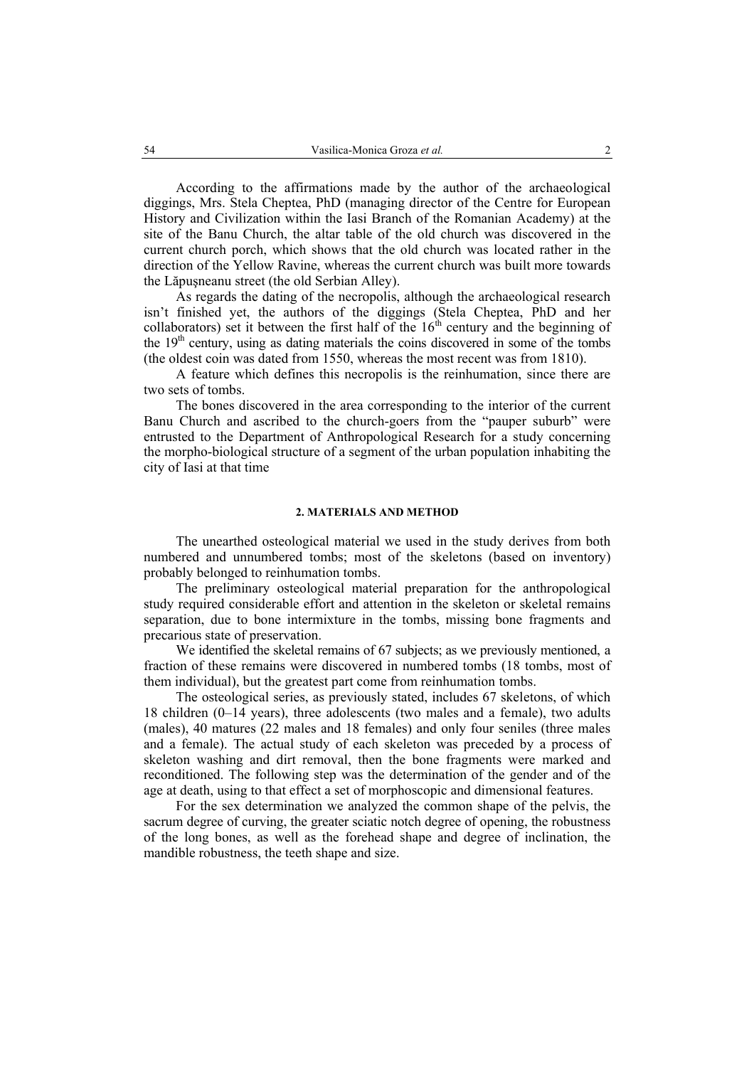According to the affirmations made by the author of the archaeological diggings, Mrs. Stela Cheptea, PhD (managing director of the Centre for European History and Civilization within the Iasi Branch of the Romanian Academy) at the site of the Banu Church, the altar table of the old church was discovered in the current church porch, which shows that the old church was located rather in the direction of the Yellow Ravine, whereas the current church was built more towards the Lăpuşneanu street (the old Serbian Alley).

As regards the dating of the necropolis, although the archaeological research isn't finished yet, the authors of the diggings (Stela Cheptea, PhD and her collaborators) set it between the first half of the  $16<sup>th</sup>$  century and the beginning of the  $19<sup>th</sup>$  century, using as dating materials the coins discovered in some of the tombs (the oldest coin was dated from 1550, whereas the most recent was from 1810).

A feature which defines this necropolis is the reinhumation, since there are two sets of tombs.

The bones discovered in the area corresponding to the interior of the current Banu Church and ascribed to the church-goers from the "pauper suburb" were entrusted to the Department of Anthropological Research for a study concerning the morpho-biological structure of a segment of the urban population inhabiting the city of Iasi at that time

### **2. MATERIALS AND METHOD**

The unearthed osteological material we used in the study derives from both numbered and unnumbered tombs; most of the skeletons (based on inventory) probably belonged to reinhumation tombs.

The preliminary osteological material preparation for the anthropological study required considerable effort and attention in the skeleton or skeletal remains separation, due to bone intermixture in the tombs, missing bone fragments and precarious state of preservation.

We identified the skeletal remains of 67 subjects; as we previously mentioned, a fraction of these remains were discovered in numbered tombs (18 tombs, most of them individual), but the greatest part come from reinhumation tombs.

The osteological series, as previously stated, includes 67 skeletons, of which 18 children (0–14 years), three adolescents (two males and a female), two adults (males), 40 matures (22 males and 18 females) and only four seniles (three males and a female). The actual study of each skeleton was preceded by a process of skeleton washing and dirt removal, then the bone fragments were marked and reconditioned. The following step was the determination of the gender and of the age at death, using to that effect a set of morphoscopic and dimensional features.

For the sex determination we analyzed the common shape of the pelvis, the sacrum degree of curving, the greater sciatic notch degree of opening, the robustness of the long bones, as well as the forehead shape and degree of inclination, the mandible robustness, the teeth shape and size.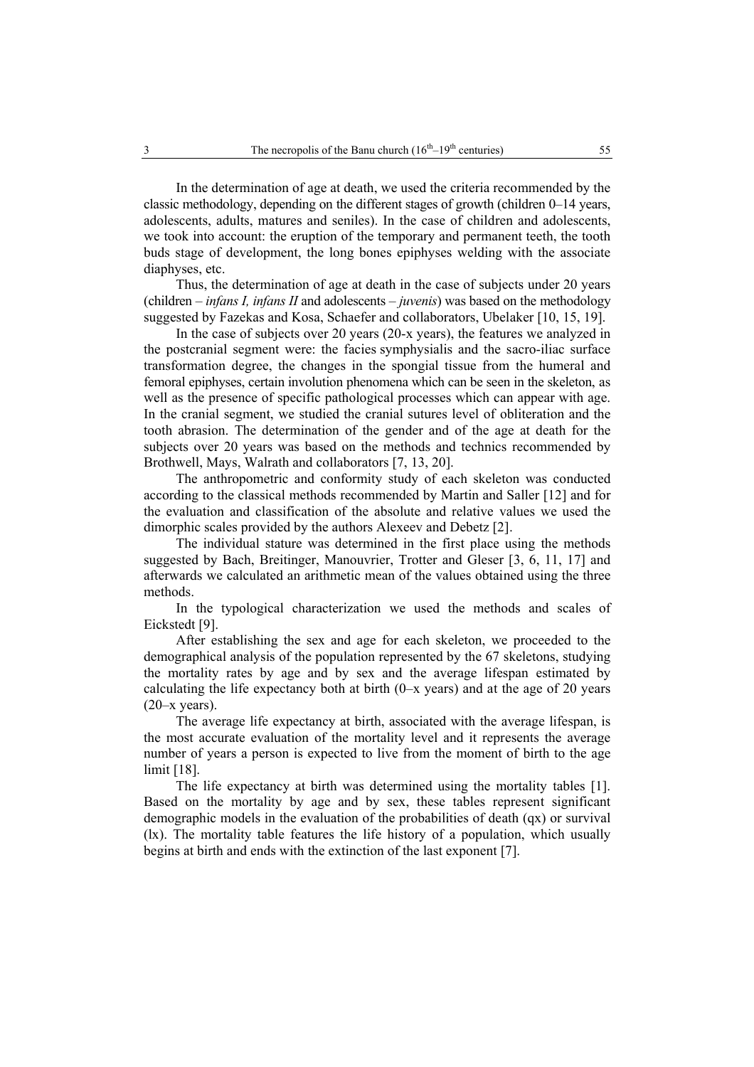In the determination of age at death, we used the criteria recommended by the classic methodology, depending on the different stages of growth (children 0–14 years, adolescents, adults, matures and seniles). In the case of children and adolescents, we took into account: the eruption of the temporary and permanent teeth, the tooth buds stage of development, the long bones epiphyses welding with the associate diaphyses, etc.

Thus, the determination of age at death in the case of subjects under 20 years (children – *infans I, infans II* and adolescents – *juvenis*) was based on the methodology suggested by Fazekas and Kosa, Schaefer and collaborators, Ubelaker [10, 15, 19].

In the case of subjects over 20 years (20-x years), the features we analyzed in the postcranial segment were: the facies symphysialis and the sacro-iliac surface transformation degree, the changes in the spongial tissue from the humeral and femoral epiphyses, certain involution phenomena which can be seen in the skeleton, as well as the presence of specific pathological processes which can appear with age. In the cranial segment, we studied the cranial sutures level of obliteration and the tooth abrasion. The determination of the gender and of the age at death for the subjects over 20 years was based on the methods and technics recommended by Brothwell, Mays, Walrath and collaborators [7, 13, 20].

The anthropometric and conformity study of each skeleton was conducted according to the classical methods recommended by Martin and Saller [12] and for the evaluation and classification of the absolute and relative values we used the dimorphic scales provided by the authors Alexeev and Debetz [2].

The individual stature was determined in the first place using the methods suggested by Bach, Breitinger, Manouvrier, Trotter and Gleser [3, 6, 11, 17] and afterwards we calculated an arithmetic mean of the values obtained using the three methods.

In the typological characterization we used the methods and scales of Eickstedt [9].

After establishing the sex and age for each skeleton, we proceeded to the demographical analysis of the population represented by the 67 skeletons, studying the mortality rates by age and by sex and the average lifespan estimated by calculating the life expectancy both at birth  $(0-x$  years) and at the age of 20 years  $(20-x \text{ years})$ .

The average life expectancy at birth, associated with the average lifespan, is the most accurate evaluation of the mortality level and it represents the average number of years a person is expected to live from the moment of birth to the age limit [18].

The life expectancy at birth was determined using the mortality tables [1]. Based on the mortality by age and by sex, these tables represent significant demographic models in the evaluation of the probabilities of death (qx) or survival (lx). The mortality table features the life history of a population, which usually begins at birth and ends with the extinction of the last exponent [7].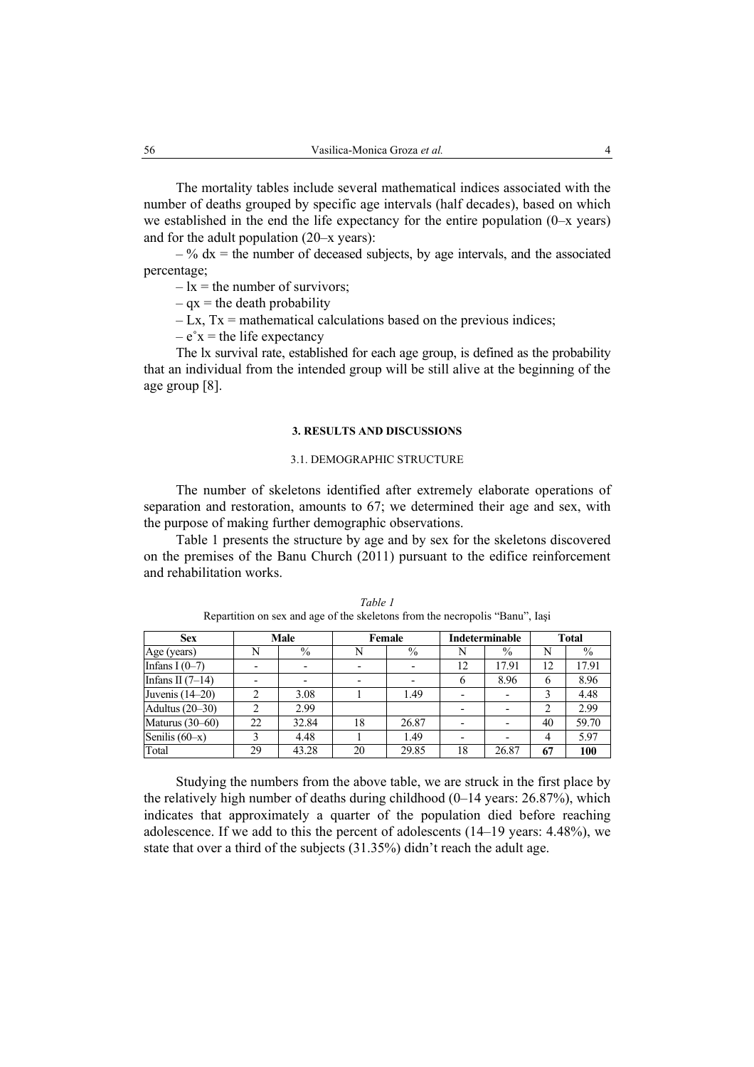The mortality tables include several mathematical indices associated with the number of deaths grouped by specific age intervals (half decades), based on which we established in the end the life expectancy for the entire population  $(0-x \text{ years})$ and for the adult population (20–x years):

 $-$ % dx = the number of deceased subjects, by age intervals, and the associated percentage;

 $-1x$  = the number of survivors;

 $-$  qx = the death probability

 $-Lx$ ,  $Tx = mathematical calculations based on the previous indices;$ 

 $-e<sup>o</sup>x$  = the life expectancy

The lx survival rate, established for each age group, is defined as the probability that an individual from the intended group will be still alive at the beginning of the age group [8].

### **3. RESULTS AND DISCUSSIONS**

### 3.1. DEMOGRAPHIC STRUCTURE

The number of skeletons identified after extremely elaborate operations of separation and restoration, amounts to 67; we determined their age and sex, with the purpose of making further demographic observations.

Table 1 presents the structure by age and by sex for the skeletons discovered on the premises of the Banu Church (2011) pursuant to the edifice reinforcement and rehabilitation works.

| <b>Sex</b>         | Male |       | Female |                          | Indeterminable |                          | <b>Total</b>   |       |
|--------------------|------|-------|--------|--------------------------|----------------|--------------------------|----------------|-------|
| Age (years)        | N    | $\%$  | N      | $\%$                     | N              | $\%$                     | N              | $\%$  |
| Infans I $(0-7)$   |      |       |        |                          | 12             | 17.91                    | 12             | 17.91 |
| Infans II $(7-14)$ |      |       |        | $\overline{\phantom{0}}$ | o              | 8.96                     | 6              | 8.96  |
| Juvenis (14–20)    | ↑    | 3.08  |        | 1.49                     | -              | $\overline{\phantom{0}}$ |                | 4.48  |
| Adultus (20–30)    |      | 2.99  |        |                          |                |                          |                | 2.99  |
| Maturus (30–60)    | 22   | 32.84 | 18     | 26.87                    |                |                          | 40             | 59.70 |
| Senilis $(60-x)$   | 3    | 4.48  |        | 1.49                     | -              |                          | $\overline{4}$ | 5.97  |
| Total              | 29   | 43.28 | 20     | 29.85                    | 18             | 26.87                    | 67             | 100   |

*Table 1*  Repartition on sex and age of the skeletons from the necropolis "Banu", Iaşi

Studying the numbers from the above table, we are struck in the first place by the relatively high number of deaths during childhood (0–14 years: 26.87%), which indicates that approximately a quarter of the population died before reaching adolescence. If we add to this the percent of adolescents (14–19 years: 4.48%), we state that over a third of the subjects (31.35%) didn't reach the adult age.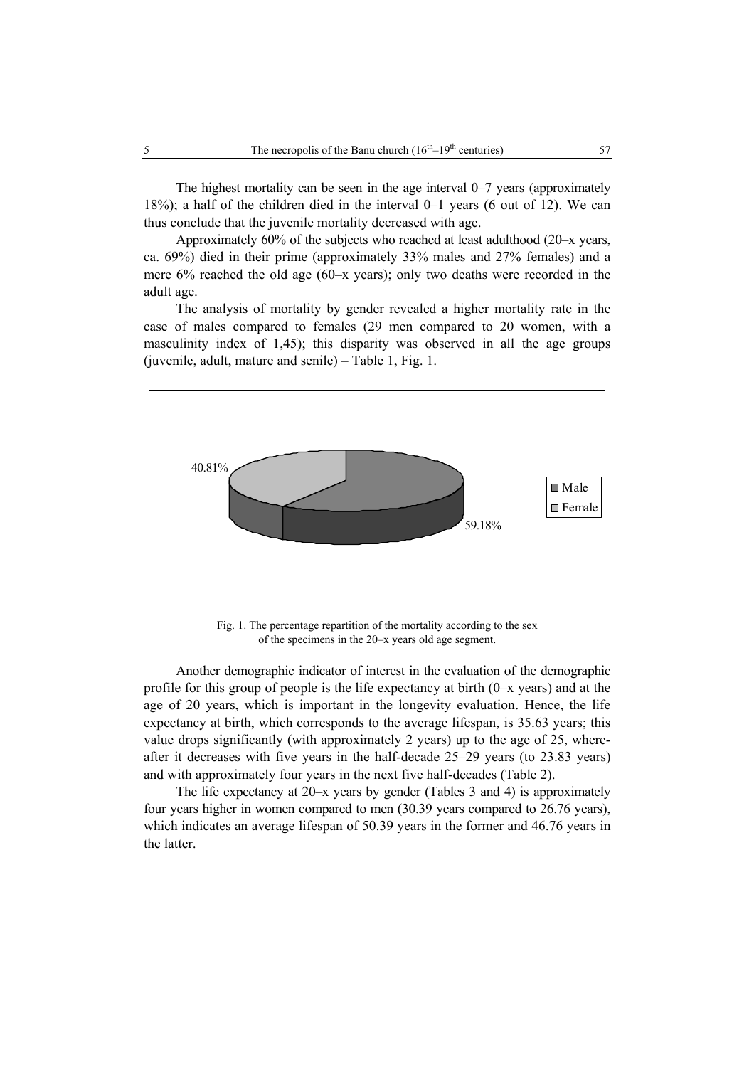The highest mortality can be seen in the age interval 0–7 years (approximately 18%); a half of the children died in the interval 0–1 years (6 out of 12). We can thus conclude that the juvenile mortality decreased with age.

Approximately 60% of the subjects who reached at least adulthood (20–x years, ca. 69%) died in their prime (approximately 33% males and 27% females) and a mere 6% reached the old age (60–x years); only two deaths were recorded in the adult age.

The analysis of mortality by gender revealed a higher mortality rate in the case of males compared to females (29 men compared to 20 women, with a masculinity index of 1,45); this disparity was observed in all the age groups (juvenile, adult, mature and senile) – Table 1, Fig. 1.



Fig. 1. The percentage repartition of the mortality according to the sex of the specimens in the 20–x years old age segment.

Another demographic indicator of interest in the evaluation of the demographic profile for this group of people is the life expectancy at birth (0–x years) and at the age of 20 years, which is important in the longevity evaluation. Hence, the life expectancy at birth, which corresponds to the average lifespan, is 35.63 years; this value drops significantly (with approximately 2 years) up to the age of 25, whereafter it decreases with five years in the half-decade 25–29 years (to 23.83 years) and with approximately four years in the next five half-decades (Table 2).

The life expectancy at 20–x years by gender (Tables 3 and 4) is approximately four years higher in women compared to men (30.39 years compared to 26.76 years), which indicates an average lifespan of 50.39 years in the former and 46.76 years in the latter.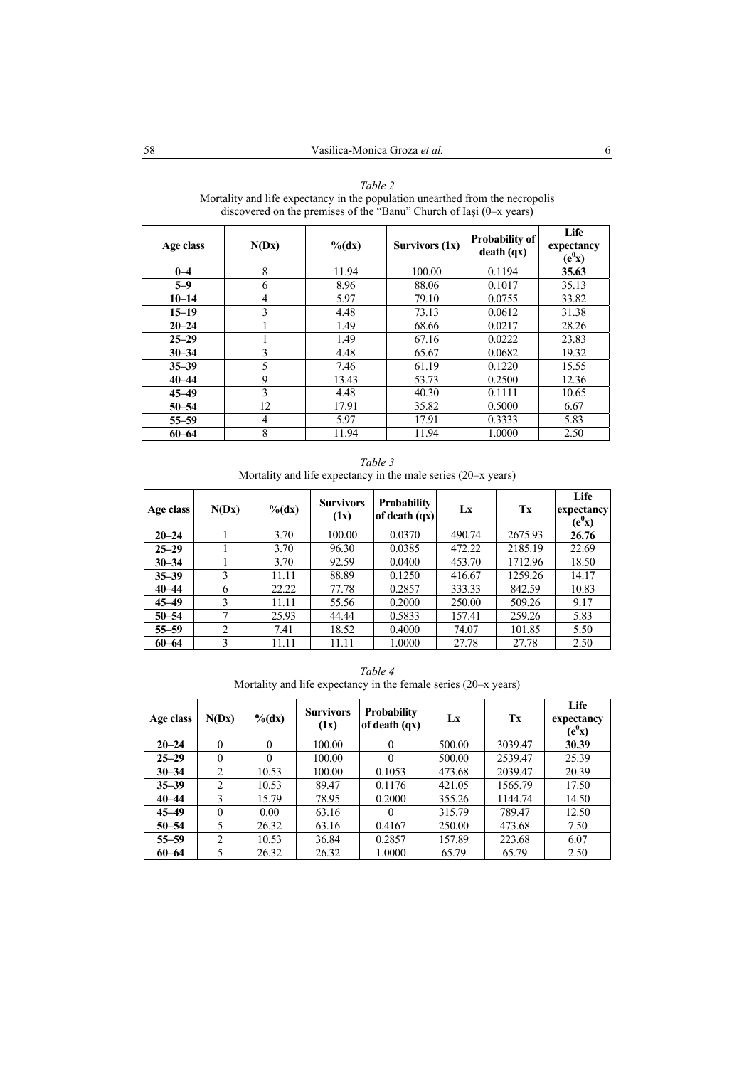| Age class | N(Dx)          | $\%$ (dx) | Survivors (1x) | <b>Probability of</b><br>death (qx) | Life<br>expectancy<br>$(e^0x)$ |
|-----------|----------------|-----------|----------------|-------------------------------------|--------------------------------|
| $0 - 4$   | 8              | 11.94     | 100.00         | 0.1194                              | 35.63                          |
| $5 - 9$   | 6              | 8.96      | 88.06          | 0.1017                              | 35.13                          |
| $10 - 14$ | $\overline{4}$ | 5.97      | 79.10          | 0.0755                              | 33.82                          |
| $15 - 19$ | 3              | 4.48      | 73.13          | 0.0612                              | 31.38                          |
| $20 - 24$ |                | 1.49      | 68.66          | 0.0217                              | 28.26                          |
| $25 - 29$ |                | 1.49      | 67.16          | 0.0222                              | 23.83                          |
| $30 - 34$ | 3              | 4.48      | 65.67          | 0.0682                              | 19.32                          |
| $35 - 39$ | 5              | 7.46      | 61.19          | 0.1220                              | 15.55                          |
| $40 - 44$ | 9              | 13.43     | 53.73          | 0.2500                              | 12.36                          |
| $45 - 49$ | 3              | 4.48      | 40.30          | 0.1111                              | 10.65                          |
| $50 - 54$ | 12             | 17.91     | 35.82          | 0.5000                              | 6.67                           |
| $55 - 59$ | 4              | 5.97      | 17.91          | 0.3333                              | 5.83                           |
| $60 - 64$ | 8              | 11.94     | 11.94          | 1.0000                              | 2.50                           |

*Table 2*  Mortality and life expectancy in the population unearthed from the necropolis discovered on the premises of the "Banu" Church of Iaşi (0–x years)

*Table 3*  Mortality and life expectancy in the male series (20–x years)

| Age class | N(Dx) | $\%$ (dx) | <b>Survivors</b><br>(1x) | <b>Probability</b><br>of death $(qx)$ | Lx     | Tx      | Life<br>expectancy<br>$(e^0x)$ |
|-----------|-------|-----------|--------------------------|---------------------------------------|--------|---------|--------------------------------|
| $20 - 24$ |       | 3.70      | 100.00                   | 0.0370                                | 490.74 | 2675.93 | 26.76                          |
| $25 - 29$ |       | 3.70      | 96.30                    | 0.0385                                | 472.22 | 2185.19 | 22.69                          |
| $30 - 34$ |       | 3.70      | 92.59                    | 0.0400                                | 453.70 | 1712.96 | 18.50                          |
| $35 - 39$ | 3     | 11.11     | 88.89                    | 0.1250                                | 416.67 | 1259.26 | 14.17                          |
| $40 - 44$ | 6     | 22.22     | 77.78                    | 0.2857                                | 333.33 | 842.59  | 10.83                          |
| $45 - 49$ | 3     | 11.11     | 55.56                    | 0.2000                                | 250.00 | 509.26  | 9.17                           |
| $50 - 54$ |       | 25.93     | 44.44                    | 0.5833                                | 157.41 | 259.26  | 5.83                           |
| $55 - 59$ | 2     | 7.41      | 18.52                    | 0.4000                                | 74.07  | 101.85  | 5.50                           |
| $60 - 64$ | 3     | 11.11     | 11.11                    | 1.0000                                | 27.78  | 27.78   | 2.50                           |

*Table 4*  Mortality and life expectancy in the female series (20–x years)

| Age class | N(Dx)          | $\%$ (dx) | <b>Survivors</b><br>(1x) | <b>Probability</b><br>of death (qx) | Lx     | Tx      | Life<br>expectancy<br>$(e^0x)$ |
|-----------|----------------|-----------|--------------------------|-------------------------------------|--------|---------|--------------------------------|
| $20 - 24$ | $\theta$       | $\theta$  | 100.00                   | $\Omega$                            | 500.00 | 3039.47 | 30.39                          |
| $25 - 29$ | $\theta$       | $\theta$  | 100.00                   | $\Omega$                            | 500.00 | 2539.47 | 25.39                          |
| $30 - 34$ | $\overline{2}$ | 10.53     | 100.00                   | 0.1053                              | 473.68 | 2039.47 | 20.39                          |
| $35 - 39$ | $\overline{2}$ | 10.53     | 89.47                    | 0.1176                              | 421.05 | 1565.79 | 17.50                          |
| $40 - 44$ | 3              | 15.79     | 78.95                    | 0.2000                              | 355.26 | 1144.74 | 14.50                          |
| $45 - 49$ | $\theta$       | 0.00      | 63.16                    | $\theta$                            | 315.79 | 789.47  | 12.50                          |
| $50 - 54$ | 5              | 26.32     | 63.16                    | 0.4167                              | 250.00 | 473.68  | 7.50                           |
| $55 - 59$ | $\overline{2}$ | 10.53     | 36.84                    | 0.2857                              | 157.89 | 223.68  | 6.07                           |
| $60 - 64$ | 5              | 26.32     | 26.32                    | 1.0000                              | 65.79  | 65.79   | 2.50                           |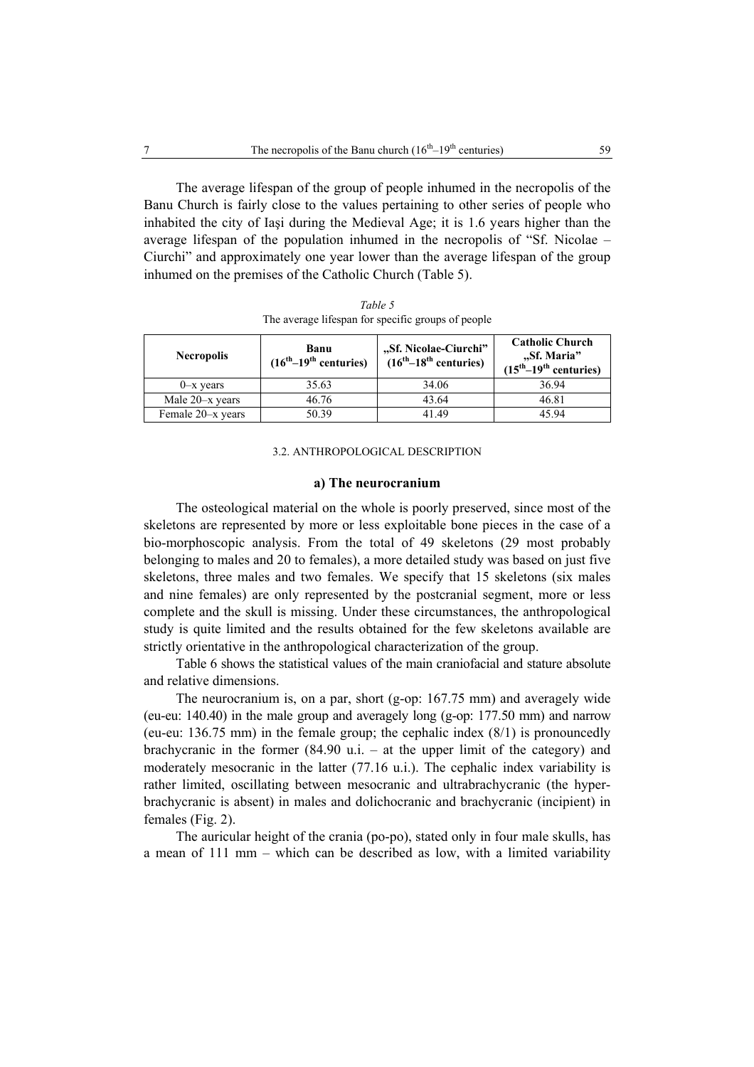The average lifespan of the group of people inhumed in the necropolis of the Banu Church is fairly close to the values pertaining to other series of people who inhabited the city of Iaşi during the Medieval Age; it is 1.6 years higher than the average lifespan of the population inhumed in the necropolis of "Sf. Nicolae – Ciurchi" and approximately one year lower than the average lifespan of the group inhumed on the premises of the Catholic Church (Table 5).

| Banu<br><b>Necropolis</b><br>$(16th-19th$ centuries) |       | "Sf. Nicolae-Ciurchi"<br>$(16th-18th$ centuries) | <b>Catholic Church</b><br>"Sf. Maria"<br>$(15th-19th$ centuries) |  |
|------------------------------------------------------|-------|--------------------------------------------------|------------------------------------------------------------------|--|
| $0-x$ years                                          | 35.63 | 34.06                                            | 36.94                                                            |  |
| Male 20-x years                                      | 46.76 | 43.64                                            | 46.81                                                            |  |
| Female 20-x years                                    | 50.39 | 41 49                                            | 45 94                                                            |  |

*Table 5*  The average lifespan for specific groups of people

## 3.2. ANTHROPOLOGICAL DESCRIPTION

### **a) The neurocranium**

The osteological material on the whole is poorly preserved, since most of the skeletons are represented by more or less exploitable bone pieces in the case of a bio-morphoscopic analysis. From the total of 49 skeletons (29 most probably belonging to males and 20 to females), a more detailed study was based on just five skeletons, three males and two females. We specify that 15 skeletons (six males and nine females) are only represented by the postcranial segment, more or less complete and the skull is missing. Under these circumstances, the anthropological study is quite limited and the results obtained for the few skeletons available are strictly orientative in the anthropological characterization of the group.

Table 6 shows the statistical values of the main craniofacial and stature absolute and relative dimensions.

The neurocranium is, on a par, short (g-op: 167.75 mm) and averagely wide (eu-eu: 140.40) in the male group and averagely long (g-op: 177.50 mm) and narrow (eu-eu: 136.75 mm) in the female group; the cephalic index (8/1) is pronouncedly brachycranic in the former  $(84.90 \text{ u.i.} - \text{at the upper limit of the category})$  and moderately mesocranic in the latter (77.16 u.i.). The cephalic index variability is rather limited, oscillating between mesocranic and ultrabrachycranic (the hyperbrachycranic is absent) in males and dolichocranic and brachycranic (incipient) in females (Fig. 2).

The auricular height of the crania (po-po), stated only in four male skulls, has a mean of 111 mm – which can be described as low, with a limited variability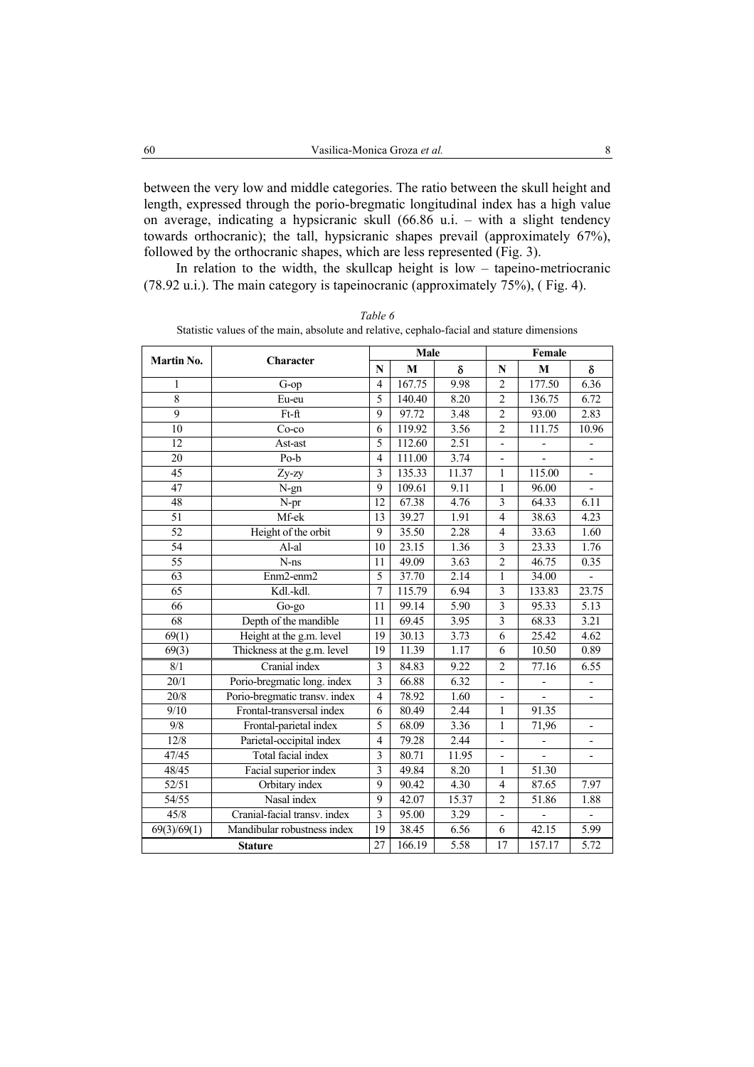between the very low and middle categories. The ratio between the skull height and length, expressed through the porio-bregmatic longitudinal index has a high value on average, indicating a hypsicranic skull (66.86 u.i. – with a slight tendency towards orthocranic); the tall, hypsicranic shapes prevail (approximately 67%), followed by the orthocranic shapes, which are less represented (Fig. 3).

In relation to the width, the skullcap height is  $low -$  tapeino-metriocranic (78.92 u.i.). The main category is tapeinocranic (approximately 75%), ( Fig. 4).

|                      |                               |                | Male   |                   | Female                       |        |                          |  |
|----------------------|-------------------------------|----------------|--------|-------------------|------------------------------|--------|--------------------------|--|
| Martin No.           | Character                     |                | M      | δ                 | N                            | M      | δ                        |  |
| 1                    | $G$ -op                       | $\overline{4}$ | 167.75 | 9.98              | $\overline{2}$               | 177.50 | 6.36                     |  |
| 8                    | Eu-eu                         | 5              | 140.40 | 8.20              | $\overline{2}$               | 136.75 | 6.72                     |  |
| $\overline{9}$       | Ft-ft                         | 9              | 97.72  | 3.48              | $\overline{2}$               | 93.00  | 2.83                     |  |
| 10                   | $Co-co$                       | 6              | 119.92 | 3.56              | $\overline{2}$               | 111.75 | 10.96                    |  |
| 12                   | Ast-ast                       | 5              | 112.60 | 2.51              |                              |        |                          |  |
| 20                   | Po-b                          | $\overline{4}$ | 111.00 | 3.74              | $\qquad \qquad \blacksquare$ |        | $\overline{\phantom{0}}$ |  |
| 45                   | Zy-zy                         | 3              | 135.33 | 11.37             | 1                            | 115.00 | $\overline{a}$           |  |
| 47                   | N-gn                          | 9              | 109.61 | 9.11              | 1                            | 96.00  |                          |  |
| 48                   | $\overline{N}$ -pr            | 12             | 67.38  | 4.76              | $\overline{3}$               | 64.33  | 6.11                     |  |
| 51                   | Mf-ek                         | 13             | 39.27  | 1.91              | $\overline{4}$               | 38.63  | 4.23                     |  |
| $\overline{52}$      | Height of the orbit           | 9              | 35.50  | 2.28              | $\overline{4}$               | 33.63  | 1.60                     |  |
| 54                   | Al-al                         | 10             | 23.15  | 1.36              | 3                            | 23.33  | 1.76                     |  |
| $\overline{55}$      | $N-ns$                        | 11             | 49.09  | 3.63              | $\overline{2}$               | 46.75  | 0.35                     |  |
| 63                   | Enm2-enm2                     | 5              | 37.70  | 2.14              | 1                            | 34.00  |                          |  |
| $\overline{65}$      | Kdl.-kdl.                     | $\overline{7}$ | 115.79 | 6.94              | $\overline{\mathbf{3}}$      | 133.83 | 23.75                    |  |
| 66                   | Go-go                         | 11             | 99.14  | $\overline{5.90}$ | 3                            | 95.33  | 5.13                     |  |
| 68                   | Depth of the mandible         | 11             | 69.45  | 3.95              | $\overline{\mathbf{3}}$      | 68.33  | 3.21                     |  |
| 69(1)                | Height at the g.m. level      | 19             | 30.13  | 3.73              | 6                            | 25.42  | 4.62                     |  |
| 69(3)                | Thickness at the g.m. level   | 19             | 11.39  | 1.17              | 6                            | 10.50  | 0.89                     |  |
| 8/1                  | Cranial index                 | 3              | 84.83  | 9.22              | $\mathfrak{D}$               | 77.16  | 6.55                     |  |
| $\overline{20/1}$    | Porio-bregmatic long. index   | 3              | 66.88  | 6.32              | $\overline{a}$               |        |                          |  |
| 20/8                 | Porio-bregmatic transv. index | $\overline{4}$ | 78.92  | 1.60              | $\overline{\phantom{0}}$     |        | $\overline{\phantom{m}}$ |  |
| 9/10                 | Frontal-transversal index     | 6              | 80.49  | 2.44              | 1                            | 91.35  |                          |  |
| $9/8$                | Frontal-parietal index        | 5              | 68.09  | 3.36              | 1                            | 71,96  | $\overline{\phantom{0}}$ |  |
| 12/8                 | Parietal-occipital index      | $\overline{4}$ | 79.28  | 2.44              | $\overline{a}$               |        |                          |  |
| 47/45                | Total facial index            | $\overline{3}$ | 80.71  | 11.95             |                              |        |                          |  |
| 48/45                | Facial superior index         | 3              | 49.84  | $\overline{8.20}$ | 1                            | 51.30  |                          |  |
| 52/51                | Orbitary index                | 9              | 90.42  | 4.30              | $\overline{4}$               | 87.65  | 7.97                     |  |
| 54/55                | Nasal index                   | 9              | 42.07  | 15.37             | $\overline{c}$               | 51.86  | 1.88                     |  |
| 45/8                 | Cranial-facial transv. index  | 3              | 95.00  | 3.29              | $\overline{\phantom{0}}$     |        |                          |  |
| $\sqrt{69}(3)/69(1)$ | Mandibular robustness index   | 19             | 38.45  | 6.56              | 6                            | 42.15  | 5.99                     |  |
| <b>Stature</b>       |                               |                | 166.19 | 5.58              | 17                           | 157.17 | 5.72                     |  |

*Table 6*  Statistic values of the main, absolute and relative, cephalo-facial and stature dimensions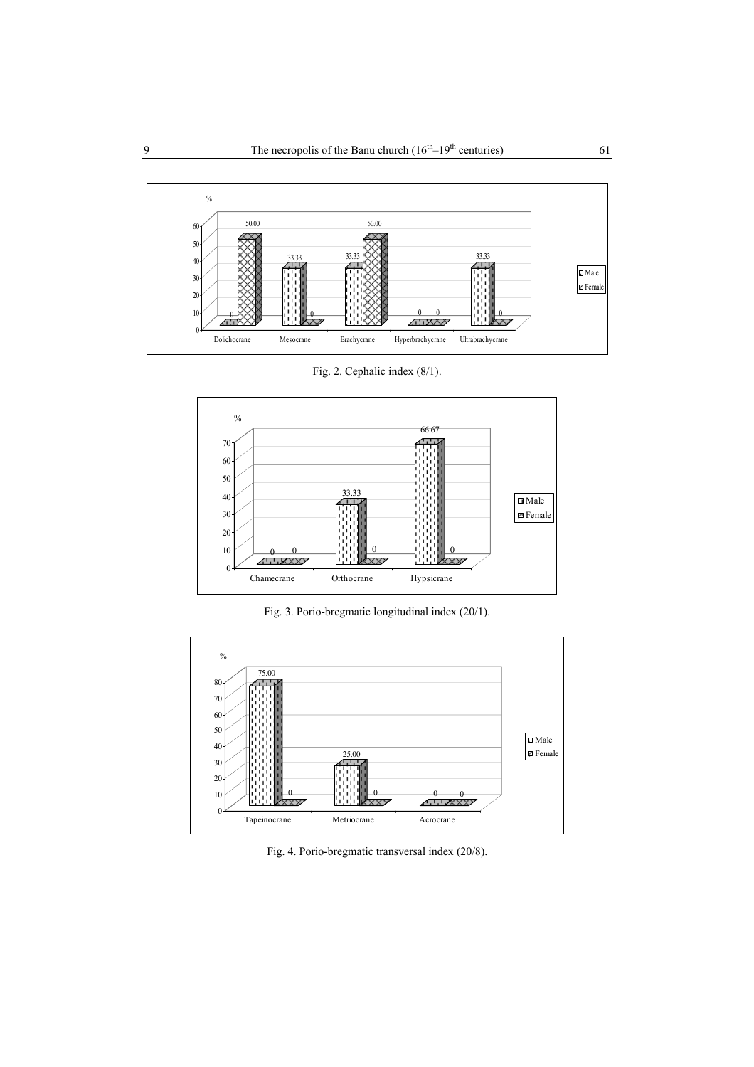

Fig. 2. Cephalic index (8/1).



Fig. 3. Porio-bregmatic longitudinal index (20/1).



Fig. 4. Porio-bregmatic transversal index (20/8).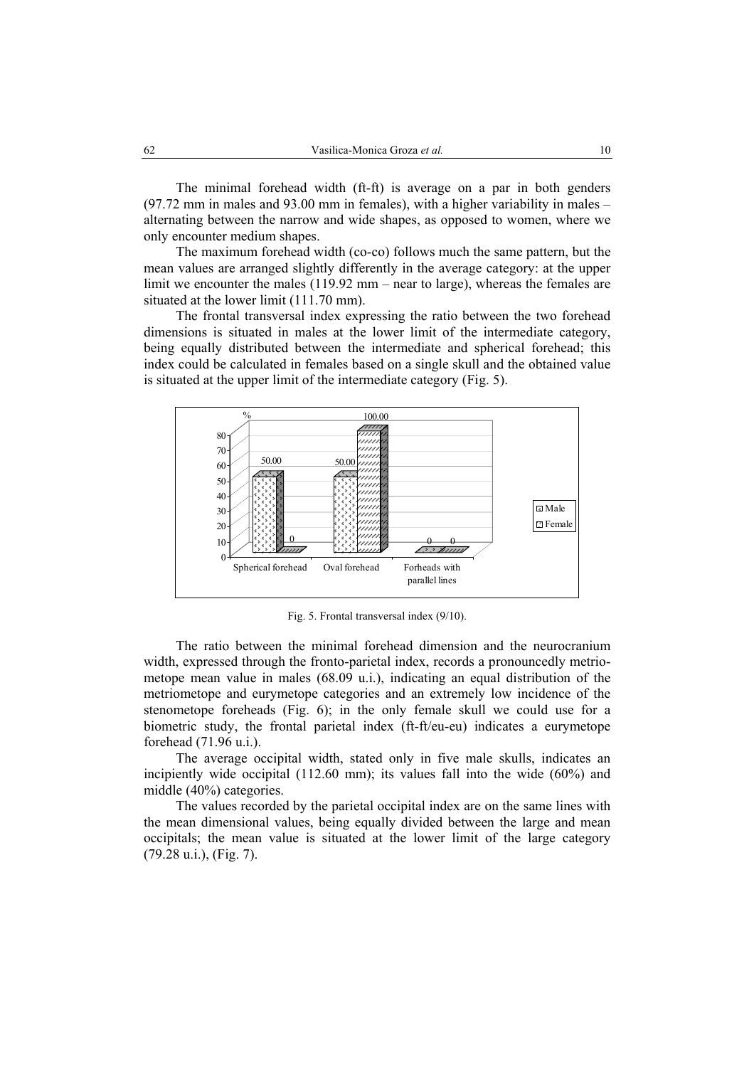The minimal forehead width (ft-ft) is average on a par in both genders (97.72 mm in males and 93.00 mm in females), with a higher variability in males – alternating between the narrow and wide shapes, as opposed to women, where we only encounter medium shapes.

The maximum forehead width (co-co) follows much the same pattern, but the mean values are arranged slightly differently in the average category: at the upper limit we encounter the males (119.92 mm – near to large), whereas the females are situated at the lower limit (111.70 mm).

The frontal transversal index expressing the ratio between the two forehead dimensions is situated in males at the lower limit of the intermediate category, being equally distributed between the intermediate and spherical forehead; this index could be calculated in females based on a single skull and the obtained value is situated at the upper limit of the intermediate category (Fig. 5).



Fig. 5. Frontal transversal index (9/10).

The ratio between the minimal forehead dimension and the neurocranium width, expressed through the fronto-parietal index, records a pronouncedly metriometope mean value in males (68.09 u.i.), indicating an equal distribution of the metriometope and eurymetope categories and an extremely low incidence of the stenometope foreheads (Fig. 6); in the only female skull we could use for a biometric study, the frontal parietal index (ft-ft/eu-eu) indicates a eurymetope forehead (71.96 u.i.).

The average occipital width, stated only in five male skulls, indicates an incipiently wide occipital (112.60 mm); its values fall into the wide (60%) and middle (40%) categories.

The values recorded by the parietal occipital index are on the same lines with the mean dimensional values, being equally divided between the large and mean occipitals; the mean value is situated at the lower limit of the large category (79.28 u.i.), (Fig. 7).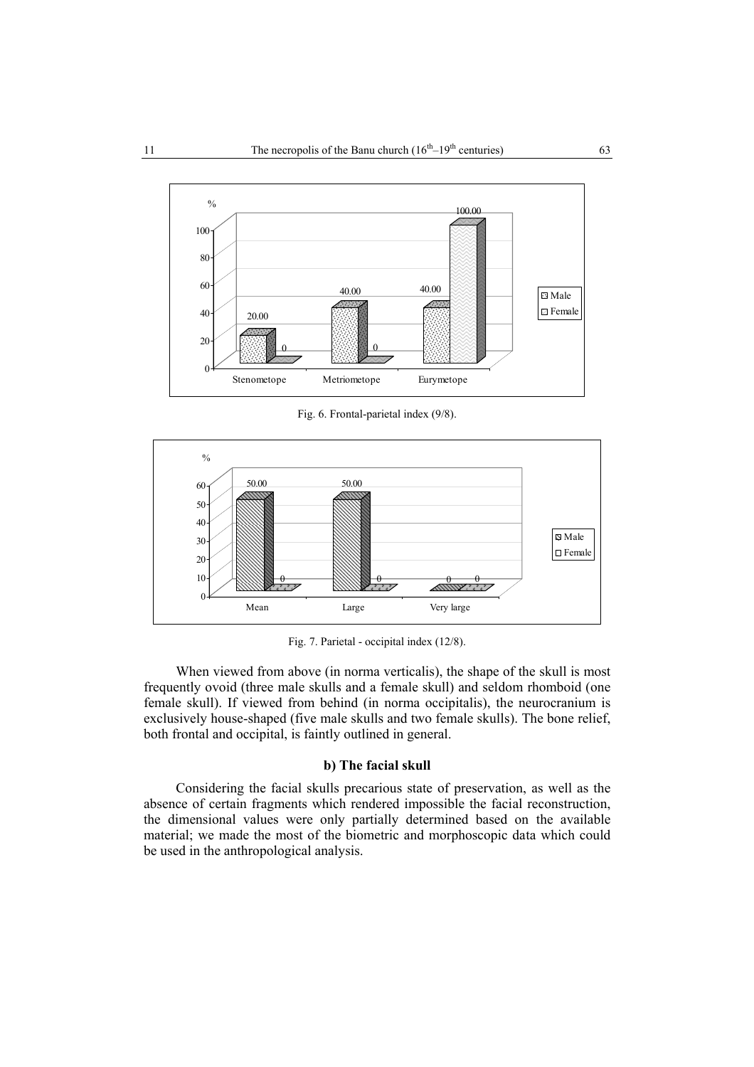

Fig. 6. Frontal-parietal index (9/8).



Fig. 7. Parietal - occipital index (12/8).

When viewed from above (in norma verticalis), the shape of the skull is most frequently ovoid (three male skulls and a female skull) and seldom rhomboid (one female skull). If viewed from behind (in norma occipitalis), the neurocranium is exclusively house-shaped (five male skulls and two female skulls). The bone relief, both frontal and occipital, is faintly outlined in general.

### **b) The facial skull**

Considering the facial skulls precarious state of preservation, as well as the absence of certain fragments which rendered impossible the facial reconstruction, the dimensional values were only partially determined based on the available material; we made the most of the biometric and morphoscopic data which could be used in the anthropological analysis.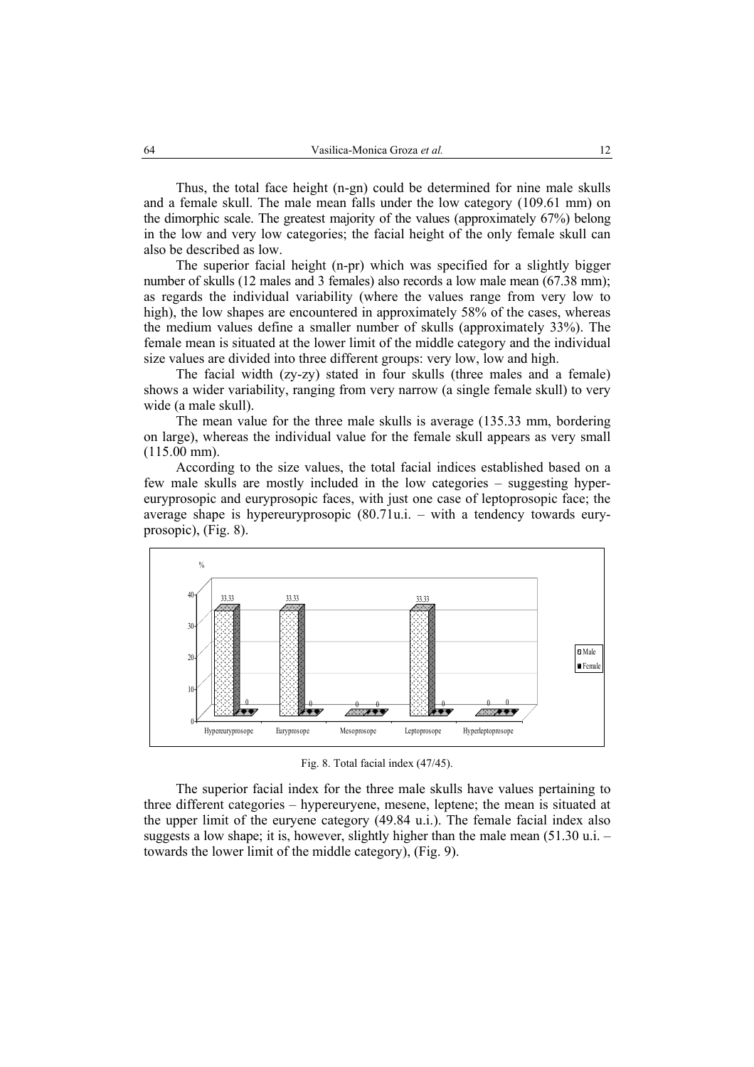Thus, the total face height (n-gn) could be determined for nine male skulls and a female skull. The male mean falls under the low category (109.61 mm) on the dimorphic scale. The greatest majority of the values (approximately 67%) belong in the low and very low categories; the facial height of the only female skull can also be described as low.

The superior facial height (n-pr) which was specified for a slightly bigger number of skulls (12 males and 3 females) also records a low male mean (67.38 mm); as regards the individual variability (where the values range from very low to high), the low shapes are encountered in approximately 58% of the cases, whereas the medium values define a smaller number of skulls (approximately 33%). The female mean is situated at the lower limit of the middle category and the individual size values are divided into three different groups: very low, low and high.

The facial width (zy-zy) stated in four skulls (three males and a female) shows a wider variability, ranging from very narrow (a single female skull) to very wide (a male skull).

The mean value for the three male skulls is average (135.33 mm, bordering on large), whereas the individual value for the female skull appears as very small (115.00 mm).

According to the size values, the total facial indices established based on a few male skulls are mostly included in the low categories – suggesting hypereuryprosopic and euryprosopic faces, with just one case of leptoprosopic face; the average shape is hypereuryprosopic (80.71u.i. – with a tendency towards euryprosopic), (Fig. 8).



Fig. 8. Total facial index (47/45).

The superior facial index for the three male skulls have values pertaining to three different categories – hypereuryene, mesene, leptene; the mean is situated at the upper limit of the euryene category (49.84 u.i.). The female facial index also suggests a low shape; it is, however, slightly higher than the male mean  $(51.30 \text{ u} \cdot \text{m})$ . towards the lower limit of the middle category), (Fig. 9).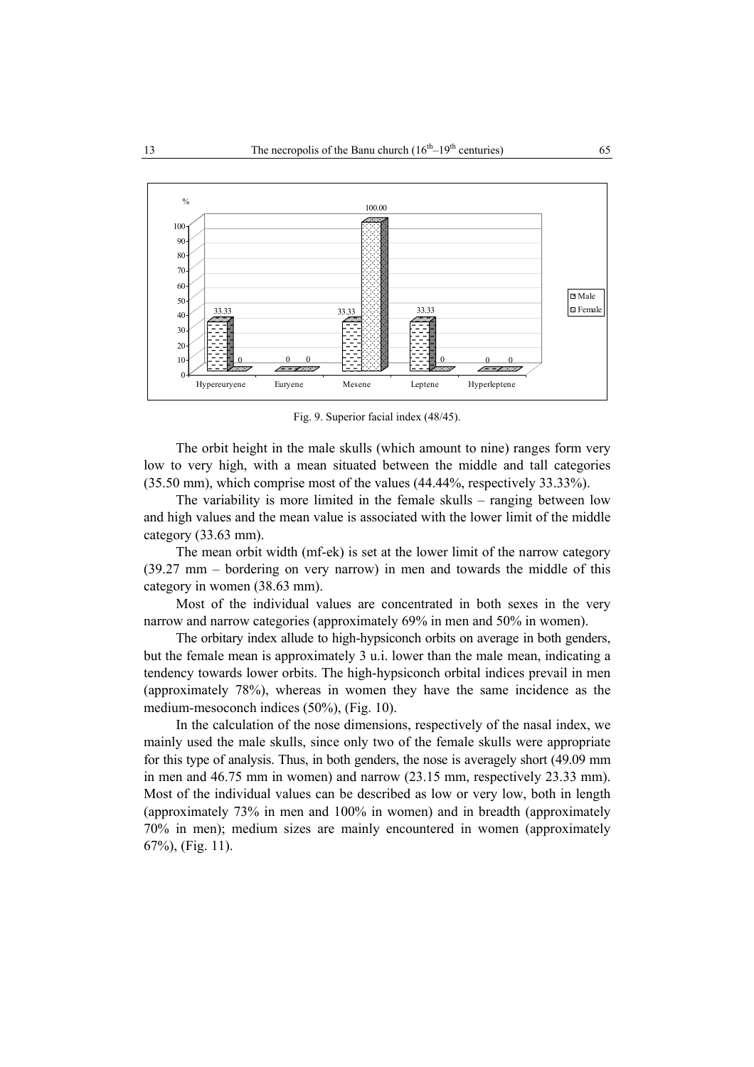

Fig. 9. Superior facial index (48/45).

The orbit height in the male skulls (which amount to nine) ranges form very low to very high, with a mean situated between the middle and tall categories (35.50 mm), which comprise most of the values (44.44%, respectively 33.33%).

The variability is more limited in the female skulls – ranging between low and high values and the mean value is associated with the lower limit of the middle category (33.63 mm).

The mean orbit width (mf-ek) is set at the lower limit of the narrow category (39.27 mm – bordering on very narrow) in men and towards the middle of this category in women (38.63 mm).

Most of the individual values are concentrated in both sexes in the very narrow and narrow categories (approximately 69% in men and 50% in women).

The orbitary index allude to high-hypsiconch orbits on average in both genders, but the female mean is approximately 3 u.i. lower than the male mean, indicating a tendency towards lower orbits. The high-hypsiconch orbital indices prevail in men (approximately 78%), whereas in women they have the same incidence as the medium-mesoconch indices (50%), (Fig. 10).

In the calculation of the nose dimensions, respectively of the nasal index, we mainly used the male skulls, since only two of the female skulls were appropriate for this type of analysis. Thus, in both genders, the nose is averagely short (49.09 mm in men and 46.75 mm in women) and narrow (23.15 mm, respectively 23.33 mm). Most of the individual values can be described as low or very low, both in length (approximately 73% in men and 100% in women) and in breadth (approximately 70% in men); medium sizes are mainly encountered in women (approximately 67%), (Fig. 11).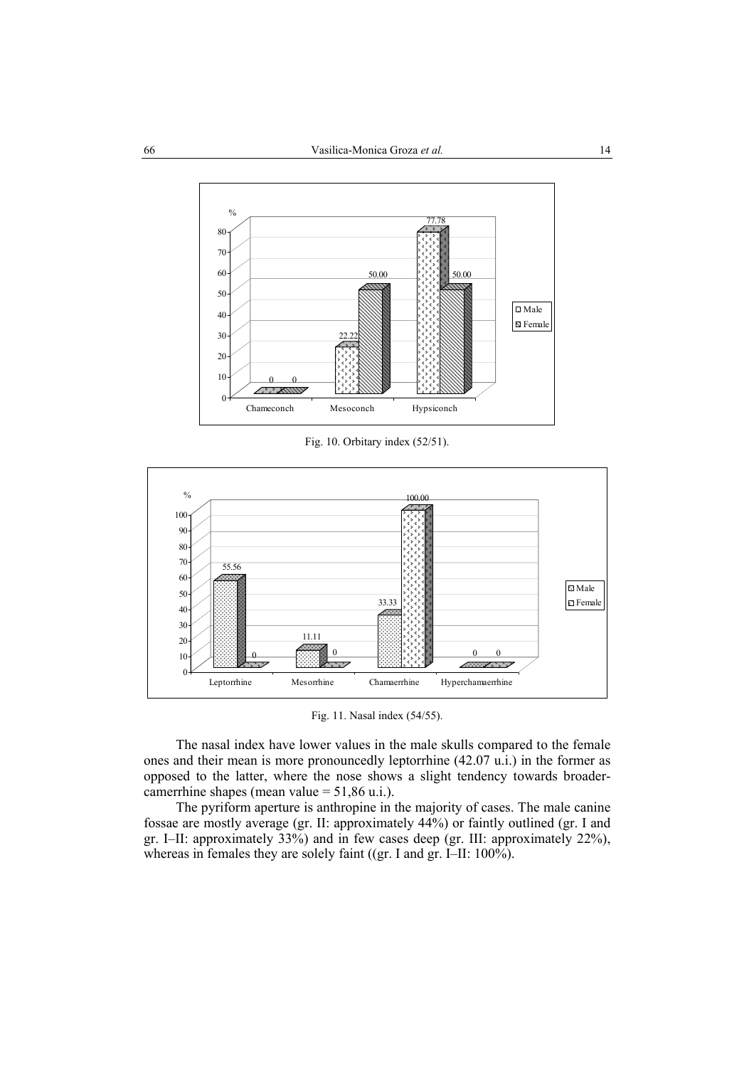

Fig. 10. Orbitary index (52/51).



Fig. 11. Nasal index (54/55).

The nasal index have lower values in the male skulls compared to the female ones and their mean is more pronouncedly leptorrhine (42.07 u.i.) in the former as opposed to the latter, where the nose shows a slight tendency towards broadercamerrhine shapes (mean value = 51,86 u.i.).

The pyriform aperture is anthropine in the majority of cases. The male canine fossae are mostly average (gr. II: approximately 44%) or faintly outlined (gr. I and gr. I–II: approximately 33%) and in few cases deep (gr. III: approximately 22%), whereas in females they are solely faint ((gr. I and gr. I–II: 100%).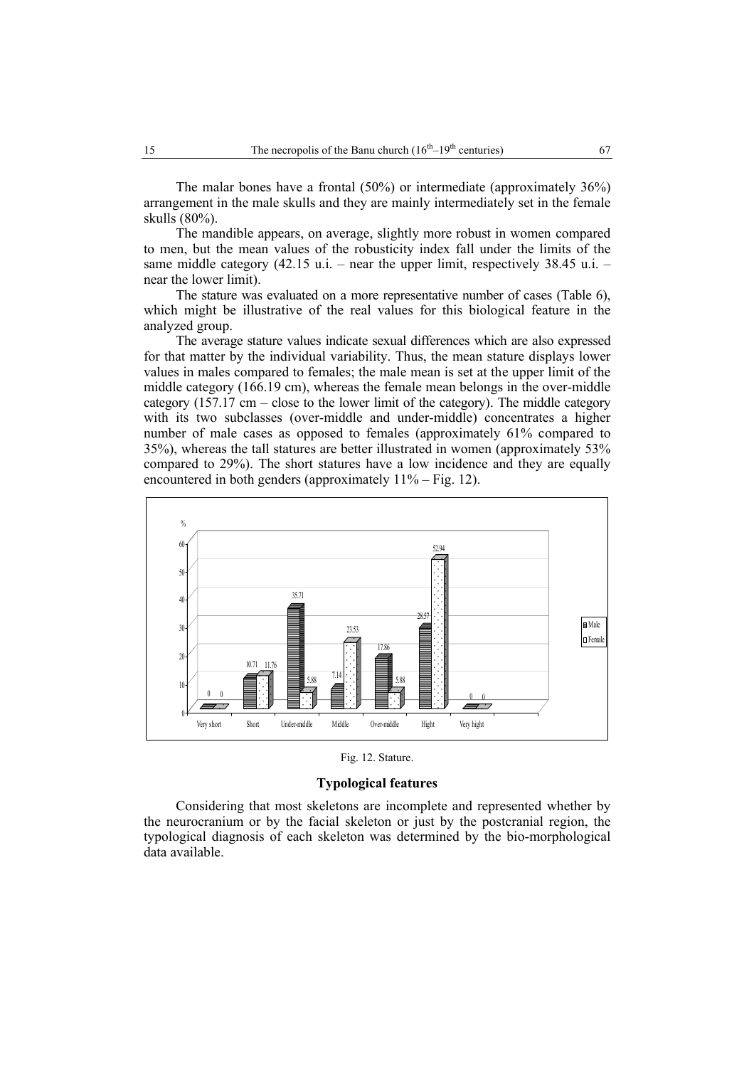The malar bones have a frontal (50%) or intermediate (approximately 36%) arrangement in the male skulls and they are mainly intermediately set in the female skulls (80%).

The mandible appears, on average, slightly more robust in women compared to men, but the mean values of the robusticity index fall under the limits of the same middle category (42.15 u.i. – near the upper limit, respectively 38.45 u.i. – near the lower limit).

The stature was evaluated on a more representative number of cases (Table 6), which might be illustrative of the real values for this biological feature in the analyzed group.

The average stature values indicate sexual differences which are also expressed for that matter by the individual variability. Thus, the mean stature displays lower values in males compared to females; the male mean is set at the upper limit of the middle category (166.19 cm), whereas the female mean belongs in the over-middle category  $(157.17 \text{ cm} - \text{close}$  to the lower limit of the category). The middle category with its two subclasses (over-middle and under-middle) concentrates a higher number of male cases as opposed to females (approximately 61% compared to 35%), whereas the tall statures are better illustrated in women (approximately 53% compared to 29%). The short statures have a low incidence and they are equally encountered in both genders (approximately  $11\%$  – Fig. 12).



Fig. 12. Stature.

## **Typological features**

Considering that most skeletons are incomplete and represented whether by the neurocranium or by the facial skeleton or just by the postcranial region, the typological diagnosis of each skeleton was determined by the bio-morphological data available.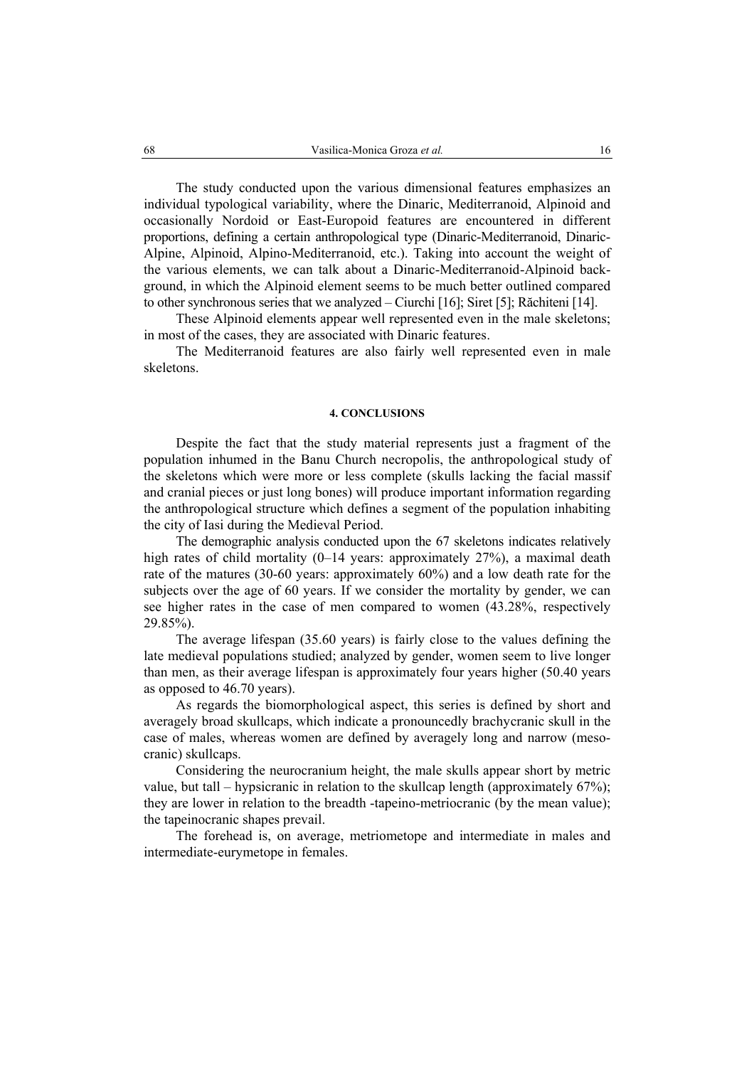The study conducted upon the various dimensional features emphasizes an individual typological variability, where the Dinaric, Mediterranoid, Alpinoid and occasionally Nordoid or East-Europoid features are encountered in different proportions, defining a certain anthropological type (Dinaric-Mediterranoid, Dinaric-Alpine, Alpinoid, Alpino-Mediterranoid, etc.). Taking into account the weight of the various elements, we can talk about a Dinaric-Mediterranoid-Alpinoid background, in which the Alpinoid element seems to be much better outlined compared to other synchronous series that we analyzed – Ciurchi [16]; Siret [5]; Răchiteni [14].

These Alpinoid elements appear well represented even in the male skeletons; in most of the cases, they are associated with Dinaric features.

The Mediterranoid features are also fairly well represented even in male skeletons.

#### **4. CONCLUSIONS**

Despite the fact that the study material represents just a fragment of the population inhumed in the Banu Church necropolis, the anthropological study of the skeletons which were more or less complete (skulls lacking the facial massif and cranial pieces or just long bones) will produce important information regarding the anthropological structure which defines a segment of the population inhabiting the city of Iasi during the Medieval Period.

The demographic analysis conducted upon the 67 skeletons indicates relatively high rates of child mortality (0–14 years: approximately 27%), a maximal death rate of the matures (30-60 years: approximately 60%) and a low death rate for the subjects over the age of 60 years. If we consider the mortality by gender, we can see higher rates in the case of men compared to women (43.28%, respectively 29.85%).

The average lifespan (35.60 years) is fairly close to the values defining the late medieval populations studied; analyzed by gender, women seem to live longer than men, as their average lifespan is approximately four years higher (50.40 years as opposed to 46.70 years).

As regards the biomorphological aspect, this series is defined by short and averagely broad skullcaps, which indicate a pronouncedly brachycranic skull in the case of males, whereas women are defined by averagely long and narrow (mesocranic) skullcaps.

Considering the neurocranium height, the male skulls appear short by metric value, but tall – hypsicranic in relation to the skullcap length (approximately 67%); they are lower in relation to the breadth -tapeino-metriocranic (by the mean value); the tapeinocranic shapes prevail.

The forehead is, on average, metriometope and intermediate in males and intermediate-eurymetope in females.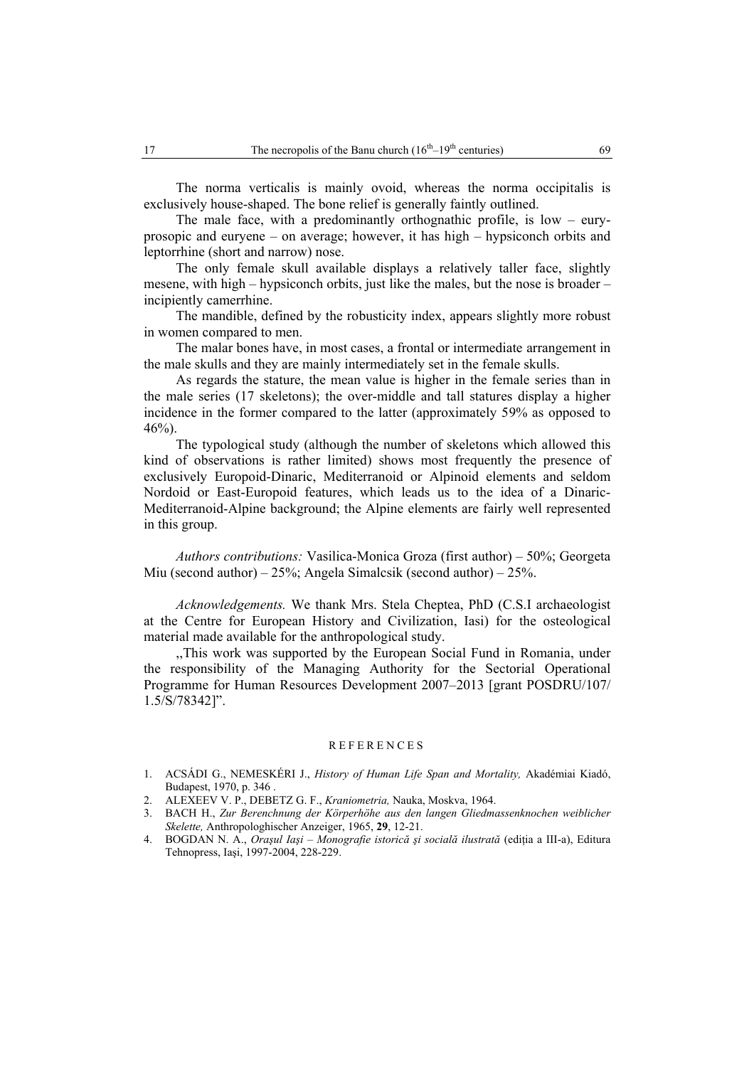The norma verticalis is mainly ovoid, whereas the norma occipitalis is exclusively house-shaped. The bone relief is generally faintly outlined.

The male face, with a predominantly orthognathic profile, is  $low - env$ prosopic and euryene – on average; however, it has high – hypsiconch orbits and leptorrhine (short and narrow) nose.

The only female skull available displays a relatively taller face, slightly mesene, with high – hypsiconch orbits, just like the males, but the nose is broader – incipiently camerrhine.

The mandible, defined by the robusticity index, appears slightly more robust in women compared to men.

The malar bones have, in most cases, a frontal or intermediate arrangement in the male skulls and they are mainly intermediately set in the female skulls.

As regards the stature, the mean value is higher in the female series than in the male series (17 skeletons); the over-middle and tall statures display a higher incidence in the former compared to the latter (approximately 59% as opposed to 46%).

The typological study (although the number of skeletons which allowed this kind of observations is rather limited) shows most frequently the presence of exclusively Europoid-Dinaric, Mediterranoid or Alpinoid elements and seldom Nordoid or East-Europoid features, which leads us to the idea of a Dinaric-Mediterranoid-Alpine background; the Alpine elements are fairly well represented in this group.

*Authors contributions:* Vasilica-Monica Groza (first author) – 50%; Georgeta Miu (second author) –  $25\%$ ; Angela Simalcsik (second author) –  $25\%$ .

*Acknowledgements.* We thank Mrs. Stela Cheptea, PhD (C.S.I archaeologist at the Centre for European History and Civilization, Iasi) for the osteological material made available for the anthropological study.

,,This work was supported by the European Social Fund in Romania, under the responsibility of the Managing Authority for the Sectorial Operational Programme for Human Resources Development 2007–2013 [grant POSDRU/107/ 1.5/S/78342]".

### REFERENCES

- 1. ACSÁDI G., NEMESKÉRI J., *History of Human Life Span and Mortality,* Akadémiai Kiadó, Budapest, 1970, p. 346 .
- 2. ALEXEEV V. P., DEBETZ G. F., *Kraniometria,* Nauka, Moskva, 1964.
- 3. BACH H., *Zur Berenchnung der Körperhöhe aus den langen Gliedmassenknochen weiblicher Skelette,* Anthropologhischer Anzeiger, 1965, **29**, 12-21.
- 4. BOGDAN N. A., *Oraşul Iaşi Monografie istorică şi socială ilustrată* (ediţia a III-a), Editura Tehnopress, Iaşi, 1997-2004, 228-229.